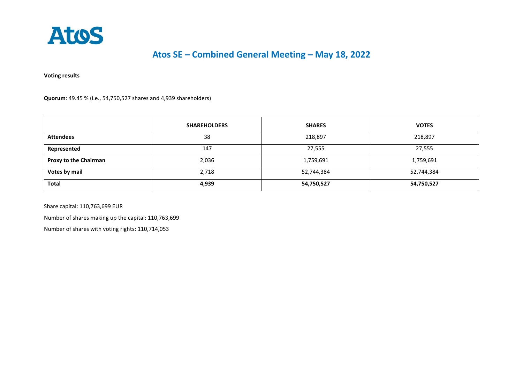

## **Atos SE – Combined General Meeting – May 18, 2022**

**Voting results** 

**Quorum**: 49.45 % (i.e., 54,750,527 shares and 4,939 shareholders)

|                              | <b>SHAREHOLDERS</b> | <b>SHARES</b> | <b>VOTES</b> |
|------------------------------|---------------------|---------------|--------------|
| <b>Attendees</b>             | 38                  | 218,897       | 218,897      |
| Represented                  | 147                 | 27,555        | 27,555       |
| <b>Proxy to the Chairman</b> | 2,036               | 1,759,691     | 1,759,691    |
| Votes by mail                | 2,718               | 52,744,384    | 52,744,384   |
| <b>Total</b>                 | 4,939               | 54,750,527    | 54,750,527   |

Share capital: 110,763,699 EUR

Number of shares making up the capital: 110,763,699

Number of shares with voting rights: 110,714,053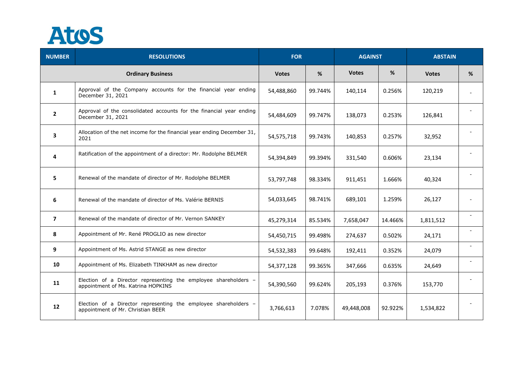

| <b>NUMBER</b>  | <b>RESOLUTIONS</b>                                                                                    | <b>FOR</b>   |         | <b>AGAINST</b> |         | <b>ABSTAIN</b> |                          |
|----------------|-------------------------------------------------------------------------------------------------------|--------------|---------|----------------|---------|----------------|--------------------------|
|                | <b>Ordinary Business</b>                                                                              | <b>Votes</b> | %       | <b>Votes</b>   | %       | <b>Votes</b>   | %                        |
| $\mathbf{1}$   | Approval of the Company accounts for the financial year ending<br>December 31, 2021                   | 54,488,860   | 99.744% | 140,114        | 0.256%  | 120,219        | $\overline{a}$           |
| $\overline{2}$ | Approval of the consolidated accounts for the financial year ending<br>December 31, 2021              | 54,484,609   | 99.747% | 138,073        | 0.253%  | 126,841        |                          |
| 3              | Allocation of the net income for the financial year ending December 31,<br>2021                       | 54,575,718   | 99.743% | 140,853        | 0.257%  | 32,952         |                          |
| 4              | Ratification of the appointment of a director: Mr. Rodolphe BELMER                                    | 54,394,849   | 99.394% | 331,540        | 0.606%  | 23,134         |                          |
| 5              | Renewal of the mandate of director of Mr. Rodolphe BELMER                                             | 53,797,748   | 98.334% | 911,451        | 1.666%  | 40,324         |                          |
| 6              | Renewal of the mandate of director of Ms. Valérie BERNIS                                              | 54,033,645   | 98.741% | 689,101        | 1.259%  | 26,127         | $\overline{\phantom{a}}$ |
| $\overline{7}$ | Renewal of the mandate of director of Mr. Vernon SANKEY                                               | 45,279,314   | 85.534% | 7,658,047      | 14.466% | 1,811,512      |                          |
| 8              | Appointment of Mr. René PROGLIO as new director                                                       | 54,450,715   | 99.498% | 274,637        | 0.502%  | 24,171         |                          |
| 9              | Appointment of Ms. Astrid STANGE as new director                                                      | 54,532,383   | 99.648% | 192,411        | 0.352%  | 24,079         | $\overline{\phantom{a}}$ |
| 10             | Appointment of Ms. Elizabeth TINKHAM as new director                                                  | 54,377,128   | 99.365% | 347,666        | 0.635%  | 24,649         |                          |
| 11             | Election of a Director representing the employee shareholders -<br>appointment of Ms. Katrina HOPKINS | 54,390,560   | 99.624% | 205,193        | 0.376%  | 153,770        | $\overline{\phantom{a}}$ |
| 12             | Election of a Director representing the employee shareholders -<br>appointment of Mr. Christian BEER  | 3,766,613    | 7.078%  | 49,448,008     | 92.922% | 1,534,822      |                          |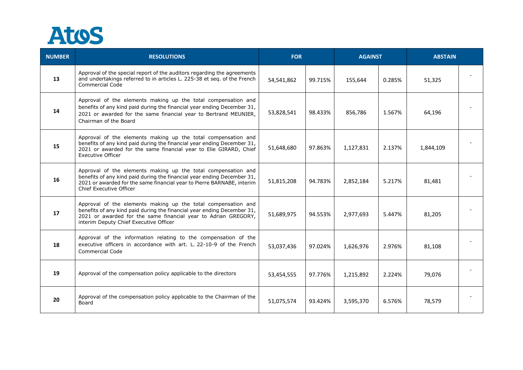

| <b>NUMBER</b> | <b>RESOLUTIONS</b>                                                                                                                                                                                                                                   | <b>FOR</b> |         | <b>AGAINST</b> |        | <b>ABSTAIN</b> |  |
|---------------|------------------------------------------------------------------------------------------------------------------------------------------------------------------------------------------------------------------------------------------------------|------------|---------|----------------|--------|----------------|--|
| 13            | Approval of the special report of the auditors regarding the agreements<br>and undertakings referred to in articles L. 225-38 et seq. of the French<br><b>Commercial Code</b>                                                                        | 54,541,862 | 99.715% | 155,644        | 0.285% | 51,325         |  |
| 14            | Approval of the elements making up the total compensation and<br>benefits of any kind paid during the financial year ending December 31,<br>2021 or awarded for the same financial year to Bertrand MEUNIER,<br>Chairman of the Board                | 53,828,541 | 98.433% | 856,786        | 1.567% | 64,196         |  |
| 15            | Approval of the elements making up the total compensation and<br>benefits of any kind paid during the financial year ending December 31,<br>2021 or awarded for the same financial year to Elie GIRARD, Chief<br><b>Executive Officer</b>            | 51,648,680 | 97.863% | 1,127,831      | 2.137% | 1,844,109      |  |
| 16            | Approval of the elements making up the total compensation and<br>benefits of any kind paid during the financial year ending December 31,<br>2021 or awarded for the same financial year to Pierre BARNABE, interim<br>Chief Executive Officer        | 51,815,208 | 94.783% | 2,852,184      | 5.217% | 81,481         |  |
| 17            | Approval of the elements making up the total compensation and<br>benefits of any kind paid during the financial year ending December 31,<br>2021 or awarded for the same financial year to Adrian GREGORY,<br>interim Deputy Chief Executive Officer | 51,689,975 | 94.553% | 2,977,693      | 5.447% | 81,205         |  |
| 18            | Approval of the information relating to the compensation of the<br>executive officers in accordance with art. L. 22-10-9 of the French<br><b>Commercial Code</b>                                                                                     | 53,037,436 | 97.024% | 1,626,976      | 2.976% | 81,108         |  |
| 19            | Approval of the compensation policy applicable to the directors                                                                                                                                                                                      | 53,454,555 | 97.776% | 1,215,892      | 2.224% | 79,076         |  |
| 20            | Approval of the compensation policy applicable to the Chairman of the<br>Board                                                                                                                                                                       | 51,075,574 | 93.424% | 3,595,370      | 6.576% | 78,579         |  |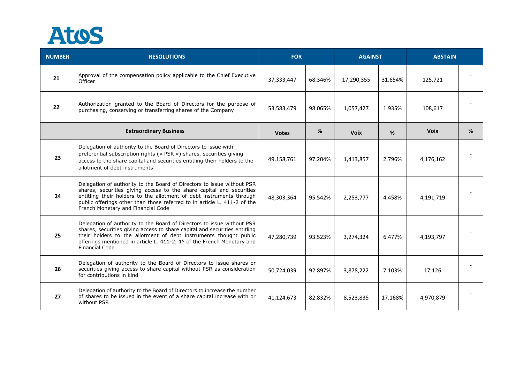

| <b>NUMBER</b>                 | <b>RESOLUTIONS</b>                                                                                                                                                                                                                                                                                                                       | <b>FOR</b>   |         | <b>AGAINST</b> |         | <b>ABSTAIN</b> |   |
|-------------------------------|------------------------------------------------------------------------------------------------------------------------------------------------------------------------------------------------------------------------------------------------------------------------------------------------------------------------------------------|--------------|---------|----------------|---------|----------------|---|
| 21                            | Approval of the compensation policy applicable to the Chief Executive<br>Officer                                                                                                                                                                                                                                                         | 37,333,447   | 68.346% | 17,290,355     | 31.654% | 125,721        |   |
| 22                            | Authorization granted to the Board of Directors for the purpose of<br>purchasing, conserving or transferring shares of the Company                                                                                                                                                                                                       | 53,583,479   | 98.065% | 1,057,427      | 1.935%  | 108,617        |   |
| <b>Extraordinary Business</b> |                                                                                                                                                                                                                                                                                                                                          | <b>Votes</b> | %       | <b>Voix</b>    | %       | <b>Voix</b>    | % |
| 23                            | Delegation of authority to the Board of Directors to issue with<br>preferential subscription rights (« PSR ») shares, securities giving<br>access to the share capital and securities entitling their holders to the<br>allotment of debt instruments                                                                                    | 49,158,761   | 97.204% | 1,413,857      | 2.796%  | 4,176,162      |   |
| 24                            | Delegation of authority to the Board of Directors to issue without PSR<br>shares, securities giving access to the share capital and securities<br>entitling their holders to the allotment of debt instruments through<br>public offerings other than those referred to in article L. 411-2 of the<br>French Monetary and Financial Code | 48,303,364   | 95.542% | 2,253,777      | 4.458%  | 4,191,719      |   |
| 25                            | Delegation of authority to the Board of Directors to issue without PSR<br>shares, securities giving access to share capital and securities entitling<br>their holders to the allotment of debt instruments thought public<br>offerings mentioned in article L. 411-2, 1° of the French Monetary and<br><b>Financial Code</b>             | 47,280,739   | 93.523% | 3,274,324      | 6.477%  | 4,193,797      |   |
| 26                            | Delegation of authority to the Board of Directors to issue shares or<br>securities giving access to share capital without PSR as consideration<br>for contributions in kind                                                                                                                                                              | 50,724,039   | 92.897% | 3,878,222      | 7.103%  | 17,126         |   |
| 27                            | Delegation of authority to the Board of Directors to increase the number<br>of shares to be issued in the event of a share capital increase with or<br>without PSR                                                                                                                                                                       | 41,124,673   | 82.832% | 8,523,835      | 17.168% | 4,970,879      |   |